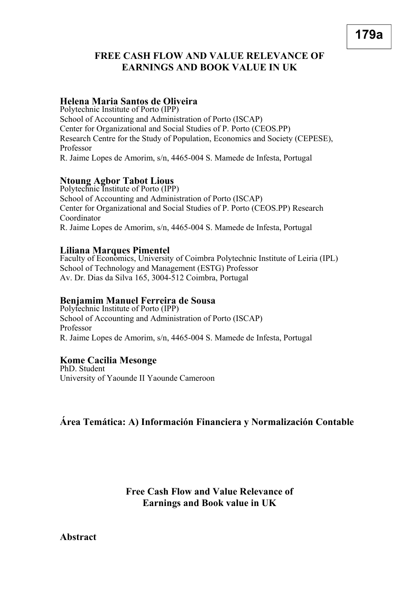# **FREE CASH FLOW AND VALUE RELEVANCE OF EARNINGS AND BOOK VALUE IN UK**

# **Helena Maria Santos de Oliveira**

Polytechnic Institute of Porto (IPP) School of Accounting and Administration of Porto (ISCAP) Center for Organizational and Social Studies of P. Porto (CEOS.PP) Research Centre for the Study of Population, Economics and Society (CEPESE), Professor R. Jaime Lopes de Amorim, s/n, 4465-004 S. Mamede de Infesta, Portugal

# **Ntoung Agbor Tabot Lious**

Polytechnic Institute of Porto (IPP) School of Accounting and Administration of Porto (ISCAP) Center for Organizational and Social Studies of P. Porto (CEOS.PP) Research Coordinator R. Jaime Lopes de Amorim, s/n, 4465-004 S. Mamede de Infesta, Portugal

### **Liliana Marques Pimentel**

Faculty of Economics, University of Coimbra Polytechnic Institute of Leiria (IPL) School of Technology and Management (ESTG) Professor Av. Dr. Dias da Silva 165, 3004-512 Coimbra, Portugal

### **Benjamim Manuel Ferreira de Sousa**

Polytechnic Institute of Porto (IPP) School of Accounting and Administration of Porto (ISCAP) Professor R. Jaime Lopes de Amorim, s/n, 4465-004 S. Mamede de Infesta, Portugal

# **Kome Cacilia Mesonge**

PhD. Student University of Yaounde II Yaounde Cameroon

# **Área Temática: A) Información Financiera y Normalización Contable**

# **Free Cash Flow and Value Relevance of Earnings and Book value in UK**

# **Abstract**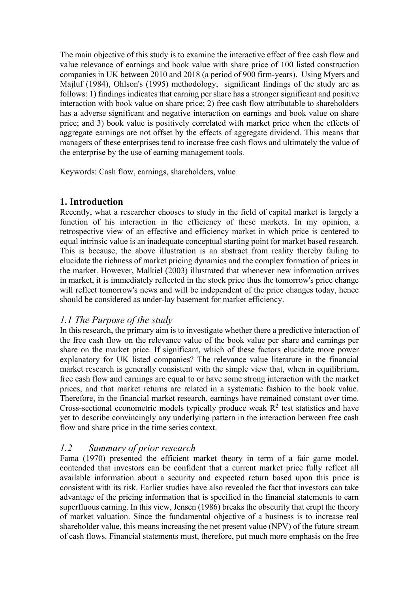The main objective of this study is to examine the interactive effect of free cash flow and value relevance of earnings and book value with share price of 100 listed construction companies in UK between 2010 and 2018 (a period of 900 firm-years). Using Myers and Majluf (1984), Ohlson's (1995) methodology, significant findings of the study are as follows: 1) findings indicates that earning per share has a stronger significant and positive interaction with book value on share price; 2) free cash flow attributable to shareholders has a adverse significant and negative interaction on earnings and book value on share price; and 3) book value is positively correlated with market price when the effects of aggregate earnings are not offset by the effects of aggregate dividend. This means that managers of these enterprises tend to increase free cash flows and ultimately the value of the enterprise by the use of earning management tools.

Keywords: Cash flow, earnings, shareholders, value

# **1. Introduction**

Recently, what a researcher chooses to study in the field of capital market is largely a function of his interaction in the efficiency of these markets. In my opinion, a retrospective view of an effective and efficiency market in which price is centered to equal intrinsic value is an inadequate conceptual starting point for market based research. This is because, the above illustration is an abstract from reality thereby failing to elucidate the richness of market pricing dynamics and the complex formation of prices in the market. However, Malkiel (2003) illustrated that whenever new information arrives in market, it is immediately reflected in the stock price thus the tomorrow's price change will reflect tomorrow's news and will be independent of the price changes today, hence should be considered as under-lay basement for market efficiency.

# *1.1 The Purpose of the study*

In this research, the primary aim is to investigate whether there a predictive interaction of the free cash flow on the relevance value of the book value per share and earnings per share on the market price. If significant, which of these factors elucidate more power explanatory for UK listed companies? The relevance value literature in the financial market research is generally consistent with the simple view that, when in equilibrium, free cash flow and earnings are equal to or have some strong interaction with the market prices, and that market returns are related in a systematic fashion to the book value. Therefore, in the financial market research, earnings have remained constant over time. Cross-sectional econometric models typically produce weak  $R^2$  test statistics and have yet to describe convincingly any underlying pattern in the interaction between free cash flow and share price in the time series context.

# *1.2 Summary of prior research*

Fama (1970) presented the efficient market theory in term of a fair game model, contended that investors can be confident that a current market price fully reflect all available information about a security and expected return based upon this price is consistent with its risk. Earlier studies have also revealed the fact that investors can take advantage of the pricing information that is specified in the financial statements to earn superfluous earning. In this view, Jensen (1986) breaks the obscurity that erupt the theory of market valuation. Since the fundamental objective of a business is to increase real shareholder value, this means increasing the net present value (NPV) of the future stream of cash flows. Financial statements must, therefore, put much more emphasis on the free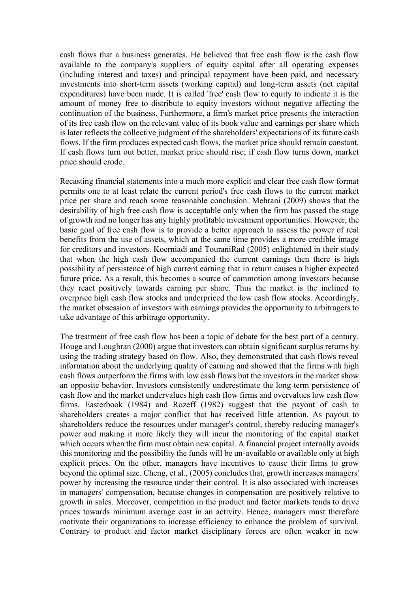cash flows that a business generates. He believed that free cash flow is the cash flow available to the company's suppliers of equity capital after all operating expenses (including interest and taxes) and principal repayment have been paid, and necessary investments into short-term assets (working capital) and long-term assets (net capital expenditures) have been made. It is called 'free' cash flow to equity to indicate it is the amount of money free to distribute to equity investors without negative affecting the continuation of the business. Furthermore, a firm's market price presents the interaction of its free cash flow on the relevant value of its book value and earnings per share which is later reflects the collective judgment of the shareholders' expectations of its future cash flows. If the firm produces expected cash flows, the market price should remain constant. If cash flows turn out better, market price should rise; if cash flow turns down, market price should erode.

Recasting financial statements into a much more explicit and clear free cash flow format permits one to at least relate the current period's free cash flows to the current market price per share and reach some reasonable conclusion. Mehrani (2009) shows that the desirability of high free cash flow is acceptable only when the firm has passed the stage of growth and no longer has any highly profitable investment opportunities. However, the basic goal of free cash flow is to provide a better approach to assess the power of real benefits from the use of assets, which at the same time provides a more credible image for creditors and investors. Koerniadi and TouraniRad (2005) enlightened in their study that when the high cash flow accompanied the current earnings then there is high possibility of persistence of high current earning that in return causes a higher expected future price. As a result, this becomes a source of commotion among investors because they react positively towards earning per share. Thus the market is the inclined to overprice high cash flow stocks and underpriced the low cash flow stocks. Accordingly, the market obsession of investors with earnings provides the opportunity to arbitragers to take advantage of this arbitrage opportunity.

The treatment of free cash flow has been a topic of debate for the best part of a century. Houge and Loughran (2000) argue that investors can obtain significant surplus returns by using the trading strategy based on flow. Also, they demonstrated that cash flows reveal information about the underlying quality of earning and showed that the firms with high cash flows outperform the firms with low cash flows but the investors in the market show an opposite behavior. Investors consistently underestimate the long term persistence of cash flow and the market undervalues high cash flow firms and overvalues low cash flow firms. Easterbook (1984) and Rozeff (1982) suggest that the payout of cash to shareholders creates a major conflict that has received little attention. As payout to shareholders reduce the resources under manager's control, thereby reducing manager's power and making it more likely they will incur the monitoring of the capital market which occurs when the firm must obtain new capital. A financial project internally avoids this monitoring and the possibility the funds will be un-available or available only at high explicit prices. On the other, managers have incentives to cause their firms to grow beyond the optimal size. Cheng, et al., (2005) concludes that, growth increases managers' power by increasing the resource under their control. It is also associated with increases in managers' compensation, because changes in compensation are positively relative to growth in sales. Moreover, competition in the product and factor markets tends to drive prices towards minimum average cost in an activity. Hence, managers must therefore motivate their organizations to increase efficiency to enhance the problem of survival. Contrary to product and factor market disciplinary forces are often weaker in new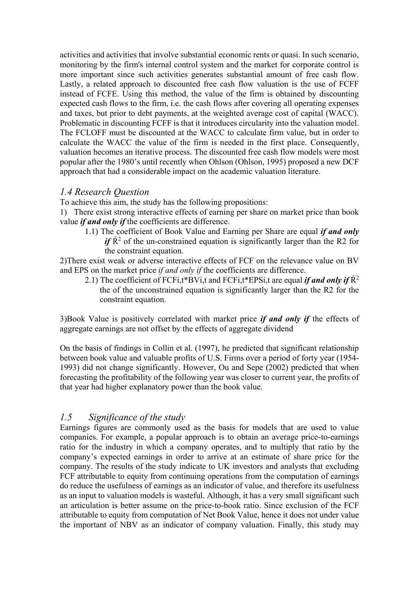activities and activities that involve substantial economic rents or quasi. In such scenario, monitoring by the firm's internal control system and the market for corporate control is more important since such activities generates substantial amount of free cash flow. Lastly, a related approach to discounted free cash flow valuation is the use of FCFF instead of FCFE. Using this method, the value of the firm is obtained by discounting expected cash flows to the firm, i.e. the cash flows after covering all operating expenses and taxes, but prior to debt payments, at the weighted average cost of capital (WACC). Problematic in discounting FCFF is that it introduces circularity into the valuation model. The FCLOFF must be discounted at the WACC to calculate firm value, but in order to calculate the WACC the value of the firm is needed in the first place. Consequently, valuation becomes an iterative process. The discounted free cash flow models were most popular after the 1980's until recently when Ohlson (Ohlson, 1995) proposed a new DCF approach that had a considerable impact on the academic valuation literature.

### *1.4 Research Question*

To achieve this aim, the study has the following propositions:

1) There exist strong interactive effects of earning per share on market price than book value *if and only if* the coefficients are difference.

1.1) The coefficient of Book Value and Earning per Share are equal *if and only if*  $\hat{R}^2$  of the un-constrained equation is significantly larger than the R2 for the constraint equation.

2)There exist weak or adverse interactive effects of FCF on the relevance value on BV and EPS on the market price *if and only if* the coefficients are difference.

2.1) The coefficient of FCFi,t\*BVi,t and FCFi,t\*EPSi,t are equal *if and only if* Ŕ 2 the of the unconstrained equation is significantly larger than the R2 for the constraint equation.

3)Book Value is positively correlated with market price *if and only if* the effects of aggregate earnings are not offset by the effects of aggregate dividend

On the basis of findings in Collin et al. (1997), he predicted that significant relationship between book value and valuable profits of U.S. Firms over a period of forty year (1954- 1993) did not change significantly. However, Ou and Sepe (2002) predicted that when forecasting the profitability of the following year was closer to current year, the profits of that year had higher explanatory power than the book value.

### *1.5 Significance of the study*

Earnings figures are commonly used as the basis for models that are used to value companies. For example, a popular approach is to obtain an average price-to-earnings ratio for the industry in which a company operates, and to multiply that ratio by the company's expected earnings in order to arrive at an estimate of share price for the company. The results of the study indicate to UK investors and analysts that excluding FCF attributable to equity from continuing operations from the computation of earnings do reduce the usefulness of earnings as an indicator of value, and therefore its usefulness as an input to valuation models is wasteful. Although, it has a very small significant such an articulation is better assume on the price-to-book ratio. Since exclusion of the FCF attributable to equity from computation of Net Book Value, hence it does not under value the important of NBV as an indicator of company valuation. Finally, this study may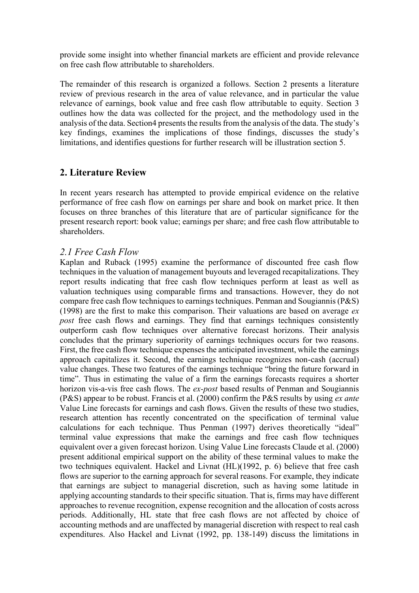provide some insight into whether financial markets are efficient and provide relevance on free cash flow attributable to shareholders.

The remainder of this research is organized a follows. Section 2 presents a literature review of previous research in the area of value relevance, and in particular the value relevance of earnings, book value and free cash flow attributable to equity. Section 3 outlines how the data was collected for the project, and the methodology used in the analysis of the data. Section4 presents the results from the analysis of the data. The study's key findings, examines the implications of those findings, discusses the study's limitations, and identifies questions for further research will be illustration section 5.

# **2. Literature Review**

In recent years research has attempted to provide empirical evidence on the relative performance of free cash flow on earnings per share and book on market price. It then focuses on three branches of this literature that are of particular significance for the present research report: book value; earnings per share; and free cash flow attributable to shareholders.

### *2.1 Free Cash Flow*

Kaplan and Ruback (1995) examine the performance of discounted free cash flow techniques in the valuation of management buyouts and leveraged recapitalizations. They report results indicating that free cash flow techniques perform at least as well as valuation techniques using comparable firms and transactions. However, they do not compare free cash flow techniques to earnings techniques. Penman and Sougiannis (P&S) (1998) are the first to make this comparison. Their valuations are based on average *ex post* free cash flows and earnings. They find that earnings techniques consistently outperform cash flow techniques over alternative forecast horizons. Their analysis concludes that the primary superiority of earnings techniques occurs for two reasons. First, the free cash flow technique expenses the anticipated investment, while the earnings approach capitalizes it. Second, the earnings technique recognizes non-cash (accrual) value changes. These two features of the earnings technique "bring the future forward in time". Thus in estimating the value of a firm the earnings forecasts requires a shorter horizon vis-a-vis free cash flows. The *ex-post* based results of Penman and Sougiannis (P&S) appear to be robust. Francis et al. (2000) confirm the P&S results by using *ex ante* Value Line forecasts for earnings and cash flows. Given the results of these two studies, research attention has recently concentrated on the specification of terminal value calculations for each technique. Thus Penman (1997) derives theoretically "ideal" terminal value expressions that make the earnings and free cash flow techniques equivalent over a given forecast horizon. Using Value Line forecasts Claude et al. (2000) present additional empirical support on the ability of these terminal values to make the two techniques equivalent. Hackel and Livnat (HL)(1992, p. 6) believe that free cash flows are superior to the earning approach for several reasons. For example, they indicate that earnings are subject to managerial discretion, such as having some latitude in applying accounting standards to their specific situation. That is, firms may have different approaches to revenue recognition, expense recognition and the allocation of costs across periods. Additionally, HL state that free cash flows are not affected by choice of accounting methods and are unaffected by managerial discretion with respect to real cash expenditures. Also Hackel and Livnat (1992, pp. 138-149) discuss the limitations in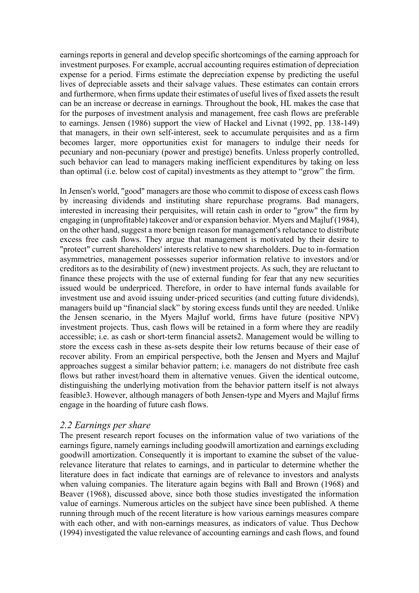earnings reports in general and develop specific shortcomings of the earning approach for investment purposes. For example, accrual accounting requires estimation of depreciation expense for a period. Firms estimate the depreciation expense by predicting the useful lives of depreciable assets and their salvage values. These estimates can contain errors and furthermore, when firms update their estimates of useful lives of fixed assets the result can be an increase or decrease in earnings. Throughout the book, HL makes the case that for the purposes of investment analysis and management, free cash flows are preferable to earnings. Jensen (1986) support the view of Hackel and Livnat (1992, pp. 138-149) that managers, in their own self-interest, seek to accumulate perquisites and as a firm becomes larger, more opportunities exist for managers to indulge their needs for pecuniary and non-pecuniary (power and prestige) benefits. Unless properly controlled, such behavior can lead to managers making inefficient expenditures by taking on less than optimal (i.e. below cost of capital) investments as they attempt to "grow" the firm.

In Jensen's world, "good" managers are those who commit to dispose of excess cash flows by increasing dividends and instituting share repurchase programs. Bad managers, interested in increasing their perquisites, will retain cash in order to "grow" the firm by engaging in (unprofitable) takeover and/or expansion behavior. Myers and Majluf (1984), on the other hand, suggest a more benign reason for management's reluctance to distribute excess free cash flows. They argue that management is motivated by their desire to "protect" current shareholders' interests relative to new shareholders. Due to in-formation asymmetries, management possesses superior information relative to investors and/or creditors as to the desirability of (new) investment projects. As such, they are reluctant to finance these projects with the use of external funding for fear that any new securities issued would be underpriced. Therefore, in order to have internal funds available for investment use and avoid issuing under-priced securities (and cutting future dividends), managers build up "financial slack" by storing excess funds until they are needed. Unlike the Jensen scenario, in the Myers Majluf world, firms have future (positive NPV) investment projects. Thus, cash flows will be retained in a form where they are readily accessible; i.e. as cash or short-term financial assets2. Management would be willing to store the excess cash in these as-sets despite their low returns because of their ease of recover ability. From an empirical perspective, both the Jensen and Myers and Majluf approaches suggest a similar behavior pattern; i.e. managers do not distribute free cash flows but rather invest/hoard them in alternative venues. Given the identical outcome, distinguishing the underlying motivation from the behavior pattern itself is not always feasible3. However, although managers of both Jensen-type and Myers and Majluf firms engage in the hoarding of future cash flows.

#### *2.2 Earnings per share*

The present research report focuses on the information value of two variations of the earnings figure, namely earnings including goodwill amortization and earnings excluding goodwill amortization. Consequently it is important to examine the subset of the valuerelevance literature that relates to earnings, and in particular to determine whether the literature does in fact indicate that earnings are of relevance to investors and analysts when valuing companies. The literature again begins with Ball and Brown (1968) and Beaver (1968), discussed above, since both those studies investigated the information value of earnings. Numerous articles on the subject have since been published. A theme running through much of the recent literature is how various earnings measures compare with each other, and with non-earnings measures, as indicators of value. Thus Dechow (1994) investigated the value relevance of accounting earnings and cash flows, and found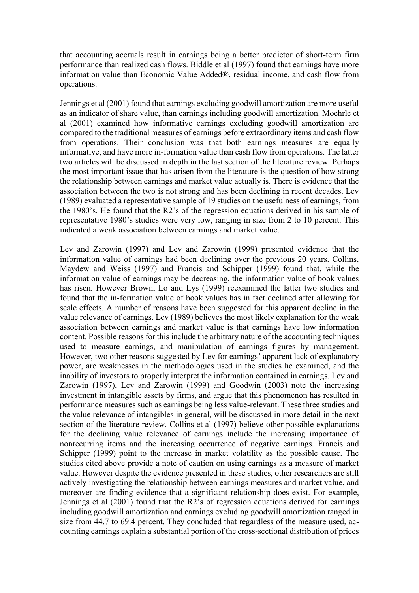that accounting accruals result in earnings being a better predictor of short-term firm performance than realized cash flows. Biddle et al (1997) found that earnings have more information value than Economic Value Added®, residual income, and cash flow from operations.

Jennings et al (2001) found that earnings excluding goodwill amortization are more useful as an indicator of share value, than earnings including goodwill amortization. Moehrle et al (2001) examined how informative earnings excluding goodwill amortization are compared to the traditional measures of earnings before extraordinary items and cash flow from operations. Their conclusion was that both earnings measures are equally informative, and have more in-formation value than cash flow from operations. The latter two articles will be discussed in depth in the last section of the literature review. Perhaps the most important issue that has arisen from the literature is the question of how strong the relationship between earnings and market value actually is. There is evidence that the association between the two is not strong and has been declining in recent decades. Lev (1989) evaluated a representative sample of 19 studies on the usefulness of earnings, from the 1980's. He found that the R2's of the regression equations derived in his sample of representative 1980's studies were very low, ranging in size from 2 to 10 percent. This indicated a weak association between earnings and market value.

Lev and Zarowin (1997) and Lev and Zarowin (1999) presented evidence that the information value of earnings had been declining over the previous 20 years. Collins, Maydew and Weiss (1997) and Francis and Schipper (1999) found that, while the information value of earnings may be decreasing, the information value of book values has risen. However Brown, Lo and Lys (1999) reexamined the latter two studies and found that the in-formation value of book values has in fact declined after allowing for scale effects. A number of reasons have been suggested for this apparent decline in the value relevance of earnings. Lev (1989) believes the most likely explanation for the weak association between earnings and market value is that earnings have low information content. Possible reasons for this include the arbitrary nature of the accounting techniques used to measure earnings, and manipulation of earnings figures by management. However, two other reasons suggested by Lev for earnings' apparent lack of explanatory power, are weaknesses in the methodologies used in the studies he examined, and the inability of investors to properly interpret the information contained in earnings. Lev and Zarowin (1997), Lev and Zarowin (1999) and Goodwin (2003) note the increasing investment in intangible assets by firms, and argue that this phenomenon has resulted in performance measures such as earnings being less value-relevant. These three studies and the value relevance of intangibles in general, will be discussed in more detail in the next section of the literature review. Collins et al (1997) believe other possible explanations for the declining value relevance of earnings include the increasing importance of nonrecurring items and the increasing occurrence of negative earnings. Francis and Schipper (1999) point to the increase in market volatility as the possible cause. The studies cited above provide a note of caution on using earnings as a measure of market value. However despite the evidence presented in these studies, other researchers are still actively investigating the relationship between earnings measures and market value, and moreover are finding evidence that a significant relationship does exist. For example, Jennings et al (2001) found that the R2's of regression equations derived for earnings including goodwill amortization and earnings excluding goodwill amortization ranged in size from 44.7 to 69.4 percent. They concluded that regardless of the measure used, accounting earnings explain a substantial portion of the cross-sectional distribution of prices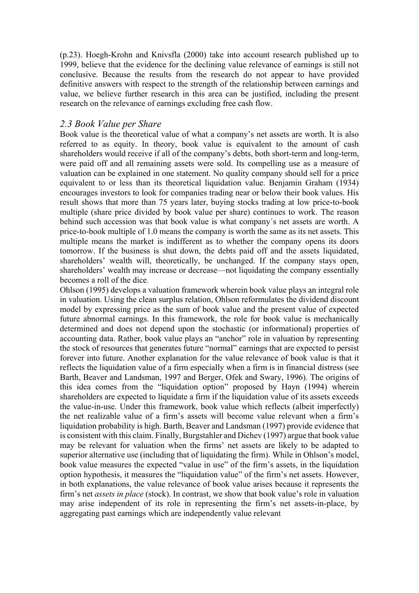(p.23). Hoegh-Krohn and Knivsfla (2000) take into account research published up to 1999, believe that the evidence for the declining value relevance of earnings is still not conclusive. Because the results from the research do not appear to have provided definitive answers with respect to the strength of the relationship between earnings and value, we believe further research in this area can be justified, including the present research on the relevance of earnings excluding free cash flow.

#### *2.3 Book Value per Share*

Book value is the theoretical value of what a company's net assets are worth. It is also referred to as equity. In theory, book value is equivalent to the amount of cash shareholders would receive if all of the company's debts, both short-term and long-term, were paid off and all remaining assets were sold. Its compelling use as a measure of valuation can be explained in one statement. No quality company should sell for a price equivalent to or less than its theoretical liquidation value. Benjamin Graham (1934) encourages investors to look for companies trading near or below their book values. His result shows that more than 75 years later, buying stocks trading at low price-to-book multiple (share price divided by book value per share) continues to work. The reason behind such accession was that book value is what company´s net assets are worth. A price-to-book multiple of 1.0 means the company is worth the same as its net assets. This multiple means the market is indifferent as to whether the company opens its doors tomorrow. If the business is shut down, the debts paid off and the assets liquidated, shareholders' wealth will, theoretically, be unchanged. If the company stays open, shareholders' wealth may increase or decrease—not liquidating the company essentially becomes a roll of the dice.

Ohlson (1995) develops a valuation framework wherein book value plays an integral role in valuation. Using the clean surplus relation, Ohlson reformulates the dividend discount model by expressing price as the sum of book value and the present value of expected future abnormal earnings. In this framework, the role for book value is mechanically determined and does not depend upon the stochastic (or informational) properties of accounting data. Rather, book value plays an "anchor" role in valuation by representing the stock of resources that generates future "normal" earnings that are expected to persist forever into future. Another explanation for the value relevance of book value is that it reflects the liquidation value of a firm especially when a firm is in financial distress (see Barth, Beaver and Landsman, 1997 and Berger, Ofek and Swary, 1996). The origins of this idea comes from the "liquidation option" proposed by Hayn (1994) wherein shareholders are expected to liquidate a firm if the liquidation value of its assets exceeds the value-in-use. Under this framework, book value which reflects (albeit imperfectly) the net realizable value of a firm's assets will become value relevant when a firm's liquidation probability is high. Barth, Beaver and Landsman (1997) provide evidence that is consistent with this claim. Finally, Burgstahler and Dichev (1997) argue that book value may be relevant for valuation when the firms' net assets are likely to be adapted to superior alternative use (including that of liquidating the firm). While in Ohlson's model, book value measures the expected "value in use" of the firm's assets, in the liquidation option hypothesis, it measures the "liquidation value" of the firm's net assets. However, in both explanations, the value relevance of book value arises because it represents the firm's net *assets in place* (stock). In contrast, we show that book value's role in valuation may arise independent of its role in representing the firm's net assets-in-place, by aggregating past earnings which are independently value relevant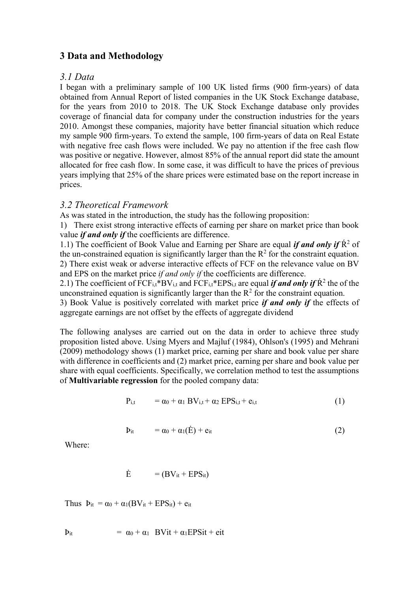# **3 Data and Methodology**

### *3.1 Data*

I began with a preliminary sample of 100 UK listed firms (900 firm-years) of data obtained from Annual Report of listed companies in the UK Stock Exchange database, for the years from 2010 to 2018. The UK Stock Exchange database only provides coverage of financial data for company under the construction industries for the years 2010. Amongst these companies, majority have better financial situation which reduce my sample 900 firm-years. To extend the sample, 100 firm-years of data on Real Estate with negative free cash flows were included. We pay no attention if the free cash flow was positive or negative. However, almost 85% of the annual report did state the amount allocated for free cash flow. In some case, it was difficult to have the prices of previous years implying that 25% of the share prices were estimated base on the report increase in prices.

### *3.2 Theoretical Framework*

As was stated in the introduction, the study has the following proposition:

1) There exist strong interactive effects of earning per share on market price than book value *if and only if* the coefficients are difference.

1.1) The coefficient of Book Value and Earning per Share are equal *if and only if*  $\hat{R}^2$  of the un-constrained equation is significantly larger than the  $R^2$  for the constraint equation. 2) There exist weak or adverse interactive effects of FCF on the relevance value on BV and EPS on the market price *if and only if* the coefficients are difference.

2.1) The coefficient of  $FCF_{i,t} * BV_{i,t}$  and  $FCF_{i,t} * EPS_{i,t}$  are equal *if and only if*  $\hat{R}^2$  the of the unconstrained equation is significantly larger than the  $R^2$  for the constraint equation.

3) Book Value is positively correlated with market price *if and only if* the effects of aggregate earnings are not offset by the effects of aggregate dividend

The following analyses are carried out on the data in order to achieve three study proposition listed above. Using Myers and Majluf (1984), Ohlson's (1995) and Mehrani (2009) methodology shows (1) market price, earning per share and book value per share with difference in coefficients and (2) market price, earning per share and book value per share with equal coefficients. Specifically, we correlation method to test the assumptions of **Multivariable regression** for the pooled company data:

$$
P_{i,t} = \alpha_0 + \alpha_1 BV_{i,t} + \alpha_2 EPS_{i,t} + e_{i,t}
$$
 (1)

$$
P_{it} = \alpha_0 + \alpha_1(\dot{E}) + e_{it} \qquad (2)
$$

Where:

$$
\dot{E} = (BV_{it} + EPS_{it})
$$

Thus  $\mathbf{p}_{it} = \alpha_0 + \alpha_1(BV_{it} + EPS_{it}) + e_{it}$ 

$$
P_{it} = \alpha_0 + \alpha_1 \quad BVit + \alpha_1 EPSit + eit
$$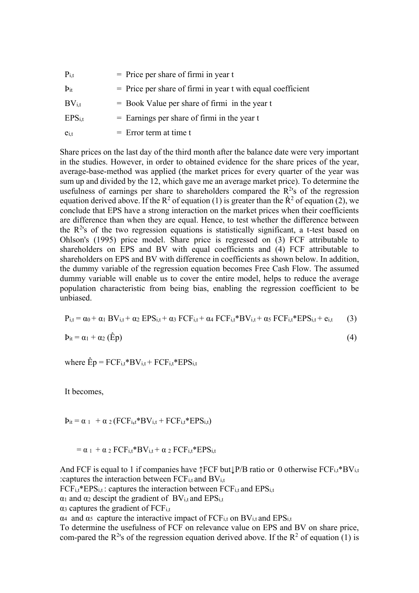| $P_{i,t}$          | $=$ Price per share of firmi in year t                        |
|--------------------|---------------------------------------------------------------|
| $\mathbf{p}_{it}$  | $=$ Price per share of firmi in year t with equal coefficient |
| $BV_{i,t}$         | $=$ Book Value per share of firmi in the year t               |
| EPS <sub>i,t</sub> | $=$ Earnings per share of firmi in the year t                 |
| $e_{i,t}$          | $=$ Error term at time t                                      |

Share prices on the last day of the third month after the balance date were very important in the studies. However, in order to obtained evidence for the share prices of the year, average-base-method was applied (the market prices for every quarter of the year was sum up and divided by the 12, which gave me an average market price). To determine the usefulness of earnings per share to shareholders compared the  $R^2$ 's of the regression equation derived above. If the  $R^2$  of equation (1) is greater than the  $\hat{R}^2$  of equation (2), we conclude that EPS have a strong interaction on the market prices when their coefficients are difference than when they are equal. Hence, to test whether the difference between the  $R^2$ 's of the two regression equations is statistically significant, a t-test based on Ohlson's (1995) price model. Share price is regressed on (3) FCF attributable to shareholders on EPS and BV with equal coefficients and (4) FCF attributable to shareholders on EPS and BV with difference in coefficients as shown below. In addition, the dummy variable of the regression equation becomes Free Cash Flow. The assumed dummy variable will enable us to cover the entire model, helps to reduce the average population characteristic from being bias, enabling the regression coefficient to be unbiased.

$$
P_{i,t} = \alpha_0 + \alpha_1 BV_{i,t} + \alpha_2 EPS_{i,t} + \alpha_3 FCF_{i,t} + \alpha_4 FCF_{i,t} * BV_{i,t} + \alpha_5 FCF_{i,t} * EPS_{i,t} + e_{i,t}
$$
 (3)

$$
\mathbf{b}_{it} = \alpha_1 + \alpha_2 \left( \hat{\mathbf{E}} \mathbf{p} \right) \tag{4}
$$

where  $\hat{E}p = FCF_{i,t} * BV_{i,t} + FCF_{i,t} * EPS_{i,t}$ 

It becomes,

 $\mathbf{p}_{it} = \alpha_1 + \alpha_2 (\text{FCF}_{i,t}^* \cdot \text{BV}_{i,t} + \text{FCF}_{i,t}^* \cdot \text{EPS}_{i,t})$ 

 $= \alpha_1 + \alpha_2 FCF_{i,t} * BV_{i,t} + \alpha_2 FCF_{i,t} * EPS_{i,t}$ 

And FCF is equal to 1 if companies have  $\uparrow$  FCF but $\downarrow$  P/B ratio or 0 otherwise FCF<sub>i,t</sub>\* BV<sub>i,t</sub> : captures the interaction between  $FCF_{i,t}$  and  $BV_{i,t}$ 

 $FCF_{i,t} * EPS_{i,t}$ : captures the interaction between  $FCF_{i,t}$  and  $EPS_{i,t}$ 

 $\alpha_1$  and  $\alpha_2$  descipt the gradient of BV<sub>i,t</sub> and EPS<sub>i,t</sub>

 $\alpha_3$  captures the gradient of FCF<sub>i,t</sub>

 $\alpha_4$  and  $\alpha_5$  capture the interactive impact of FCF<sub>i,t</sub> on BV<sub>i,t</sub> and EPS<sub>i,t</sub>

To determine the usefulness of FCF on relevance value on EPS and BV on share price, com-pared the  $R^{2}$ 's of the regression equation derived above. If the  $R^{2}$  of equation (1) is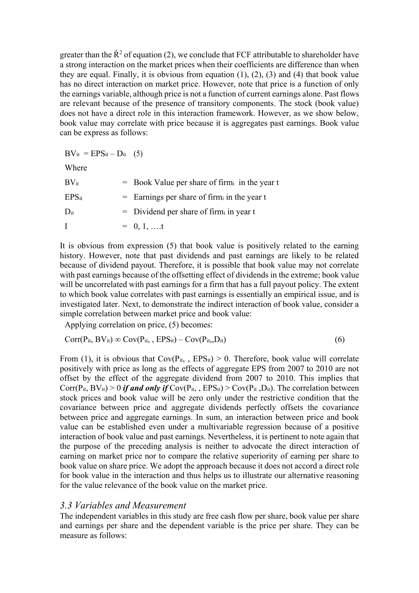greater than the  $\hat{R}^2$  of equation (2), we conclude that FCF attributable to shareholder have a strong interaction on the market prices when their coefficients are difference than when they are equal. Finally, it is obvious from equation  $(1)$ ,  $(2)$ ,  $(3)$  and  $(4)$  that book value has no direct interaction on market price. However, note that price is a function of only the earnings variable, although price is not a function of current earnings alone. Past flows are relevant because of the presence of transitory components. The stock (book value) does not have a direct role in this interaction framework. However, as we show below, book value may correlate with price because it is aggregates past earnings. Book value can be express as follows:

 $BV_{it} = EPS_{it} - D_{it}$  (5)

Where

| $\rm BV$ <sub>it</sub> | $=$ Book Value per share of firm in the year t |
|------------------------|------------------------------------------------|
| $EPS_{it}$             | $=$ Earnings per share of firm in the year t   |
| $D_{it}$               | $=$ Dividend per share of firm in year t       |
|                        | $= 0, 1, \ldots t$                             |

It is obvious from expression (5) that book value is positively related to the earning history. However, note that past dividends and past earnings are likely to be related because of dividend payout. Therefore, it is possible that book value may not correlate with past earnings because of the offsetting effect of dividends in the extreme; book value will be uncorrelated with past earnings for a firm that has a full payout policy. The extent to which book value correlates with past earnings is essentially an empirical issue, and is investigated later. Next, to demonstrate the indirect interaction of book value, consider a simple correlation between market price and book value:

Applying correlation on price, (5) becomes:

 $Corr(P_{it}, BV_{it}) \propto Cov(P_{it}, EPS_{it}) - Cov(P_{it}, D_{it})$  (6)

From (1), it is obvious that  $Cov(P_{it}, EPS_{it}) > 0$ . Therefore, book value will correlate positively with price as long as the effects of aggregate EPS from 2007 to 2010 are not offset by the effect of the aggregate dividend from 2007 to 2010. This implies that Corr( $P_{it}$ ,  $BV_{it}$ ) > 0 *if and only if* Cov( $P_{it}$ ,  $EPS_{it}$ ) > Cov( $P_{it}$ ,  $Dt_{it}$ ). The correlation between stock prices and book value will be zero only under the restrictive condition that the covariance between price and aggregate dividends perfectly offsets the covariance between price and aggregate earnings. In sum, an interaction between price and book value can be established even under a multivariable regression because of a positive interaction of book value and past earnings. Nevertheless, it is pertinent to note again that the purpose of the preceding analysis is neither to advocate the direct interaction of earning on market price nor to compare the relative superiority of earning per share to book value on share price. We adopt the approach because it does not accord a direct role for book value in the interaction and thus helps us to illustrate our alternative reasoning for the value relevance of the book value on the market price.

#### *3.3 Variables and Measurement*

The independent variables in this study are free cash flow per share, book value per share and earnings per share and the dependent variable is the price per share. They can be measure as follows: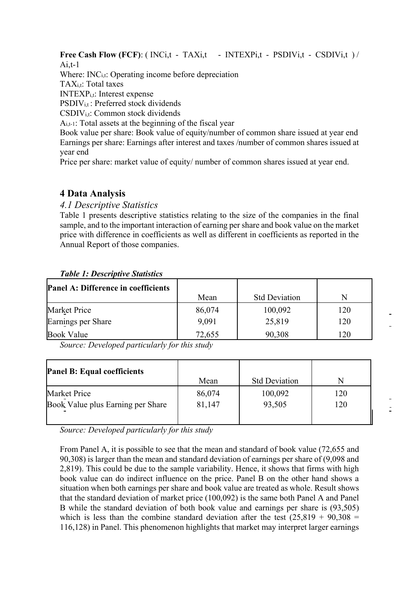**Free Cash Flow (FCF)**: ( INCi,t- TAXi,t - INTEXPi,t - PSDIVi,t - CSDIVi,t ) /  $A$ *i*, $t-1$ Where: INC<sub>i,t</sub>: Operating income before depreciation TAXi,t: Total taxes

INTEXPi,t: Interest expense

PSDIVi,t : Preferred stock dividends

CSDIVi,t: Common stock dividends

Ai,t-1: Total assets at the beginning of the fiscal year

Book value per share: Book value of equity/number of common share issued at year end Earnings per share: Earnings after interest and taxes /number of common shares issued at year end

Price per share: market value of equity/ number of common shares issued at year end.

#### **4 Data Analysis**

*4.1 Descriptive Statistics*

Table 1 presents descriptive statistics relating to the size of the companies in the final sample, and to the important interaction of earning per share and book value on the market price with difference in coefficients as well as different in coefficients as reported in the Annual Report of those companies.

| <b>Panel A: Difference in coefficients</b> |        |                      |     |
|--------------------------------------------|--------|----------------------|-----|
|                                            | Mean   | <b>Std Deviation</b> | N   |
| <b>Market Price</b>                        | 86,074 | 100,092              | 120 |
| Earnings per Share                         | 9,091  | 25,819               | 120 |
| <b>Book Value</b>                          | 72,655 | 90,308               | 120 |

#### *Table 1: Descriptive Statistics*

*Source: Developed particularly for this study*

| <b>Panel B: Equal coefficients</b> |        |                      |     |
|------------------------------------|--------|----------------------|-----|
|                                    | Mean   | <b>Std Deviation</b> |     |
| <b>Market Price</b>                | 86,074 | 100,092              | 120 |
| Book Value plus Earning per Share  | 81,147 | 93,505               | 120 |
|                                    |        |                      |     |

 $\frac{1}{2}$ 

*Source: Developed particularly for this study*

From Panel A, it is possible to see that the mean and standard of book value (72,655 and 90,308) is larger than the mean and standard deviation of earnings per share of (9,098 and 2,819). This could be due to the sample variability. Hence, it shows that firms with high book value can do indirect influence on the price. Panel B on the other hand shows a situation when both earnings per share and book value are treated as whole. Result shows that the standard deviation of market price (100,092) is the same both Panel A and Panel B while the standard deviation of both book value and earnings per share is (93,505) which is less than the combine standard deviation after the test  $(25,819 + 90,308 =$ 116,128) in Panel. This phenomenon highlights that market may interpret larger earnings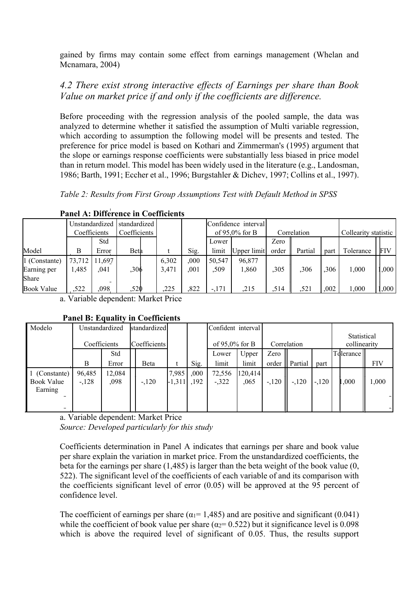gained by firms may contain some effect from earnings management (Whelan and Mcnamara, 2004)

# *4.2 There exist strong interactive effects of Earnings per share than Book Value on market price if and only if the coefficients are difference.*

Before proceeding with the regression analysis of the pooled sample, the data was analyzed to determine whether it satisfied the assumption of Multi variable regression, which according to assumption the following model will be presents and tested. The preference for price model is based on Kothari and Zimmerman's (1995) argument that the slope or earnings response coefficients were substantially less biased in price model than in return model. This model has been widely used in the literature (e.g., Landosman, 1986; Barth, 1991; Eccher et al., 1996; Burgstahler & Dichev, 1997; Collins et al., 1997).

*Table 2: Results from First Group Assumptions Test with Default Method in SPSS*

|                   |        |              | Unstandardized standardized |       |      |                | Confidence interval |             |         |      |                      |            |
|-------------------|--------|--------------|-----------------------------|-------|------|----------------|---------------------|-------------|---------|------|----------------------|------------|
|                   |        | Coefficients | Coefficients                |       |      | of 95,0% for B |                     | Correlation |         |      | Collearity statistic |            |
|                   |        | Std          |                             |       |      | Lower          |                     | Zero        |         |      |                      |            |
| Model             | В      | Error        | Beta                        |       | Sig. | limit          | Upper limit         | order       | Partial | part | Tolerance            | <b>FIV</b> |
| 1 (Constante)     | 73,712 | 11,697       |                             | 6,302 | ,000 | 50,547         | 96,877              |             |         |      |                      |            |
| Earning per       | l.485  | .041         | ,306                        | 3,471 | ,001 | ,509           | 1,860               | ,305        | ,306    | .306 | 1,000                | 1,000      |
| Share             |        |              |                             |       |      |                |                     |             |         |      |                      |            |
| <b>Book Value</b> | 522    | ,098         | ,520                        | .225  | 822  | $-171$         | ,215                | ,514        | .52'    | ,002 | 1,000                | $1{,}000$  |

**Panel A: Difference in Coefficients**

a. Variable dependent: Market Price

| Modelo      | Unstandardized |        | standardized |          |      | Confident interval |         |         |                |         |                             |            |
|-------------|----------------|--------|--------------|----------|------|--------------------|---------|---------|----------------|---------|-----------------------------|------------|
|             | Coefficients   |        | Coefficients |          |      | of 95,0% for B     |         |         | Correlation    |         | Statistical<br>collinearity |            |
|             |                |        |              |          |      |                    |         |         |                |         |                             |            |
|             |                | Std    |              |          |      | Lower              | Upper   | Zero    |                |         | Tolerance <sup>l</sup>      |            |
|             | B              | Error  | Beta         | t        | Sig. | limit              | limit   | order   | <b>Partial</b> | part    |                             | <b>FIV</b> |
| (Constante) | 96,485         | 12,084 |              | 7,985    | ,000 | 72,556             | 120,414 |         |                |         |                             |            |
| Book Value  | $-.128$        | ,098   | $-.120$      | $-1,311$ | .192 | $-322$             | ,065    | $-.120$ | $-120$         | $-.120$ | 1,000                       | 1,000      |
| Earning     |                |        |              |          |      |                    |         |         |                |         |                             |            |
|             |                |        |              |          |      |                    |         |         |                |         |                             |            |
|             |                |        |              |          |      |                    |         |         |                |         |                             |            |

#### **Panel B: Equality in Coefficients**

a. Variable dependent: Market Price *Source: Developed particularly for this study*

Coefficients determination in Panel A indicates that earnings per share and book value per share explain the variation in market price. From the unstandardized coefficients, the beta for the earnings per share (1,485) is larger than the beta weight of the book value (0, 522). The significant level of the coefficients of each variable of and its comparison with the coefficients significant level of error (0.05) will be approved at the 95 percent of confidence level.

The coefficient of earnings per share ( $\alpha_1$ = 1,485) and are positive and significant (0.041) while the coefficient of book value per share ( $\alpha$ <sub>2</sub>= 0.522) but it significance level is 0.098 which is above the required level of significant of 0.05. Thus, the results support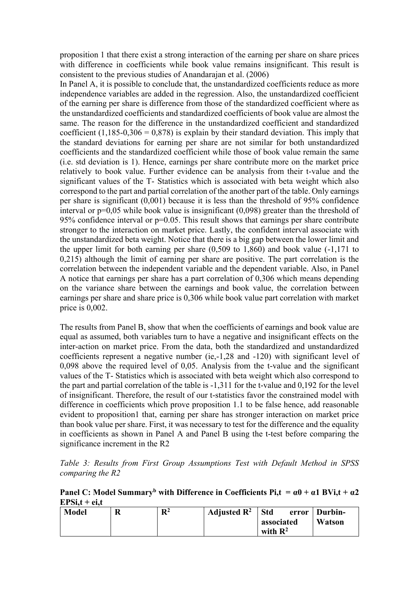proposition 1 that there exist a strong interaction of the earning per share on share prices with difference in coefficients while book value remains insignificant. This result is consistent to the previous studies of Anandarajan et al. (2006)

In Panel A, it is possible to conclude that, the unstandardized coefficients reduce as more independence variables are added in the regression. Also, the unstandardized coefficient of the earning per share is difference from those of the standardized coefficient where as the unstandardized coefficients and standardized coefficients of book value are almost the same. The reason for the difference in the unstandardized coefficient and standardized coefficient  $(1,185-0,306 = 0,878)$  is explain by their standard deviation. This imply that the standard deviations for earning per share are not similar for both unstandardized coefficients and the standardized coefficient while those of book value remain the same (i.e. std deviation is 1). Hence, earnings per share contribute more on the market price relatively to book value. Further evidence can be analysis from their t-value and the significant values of the T- Statistics which is associated with beta weight which also correspond to the part and partial correlation of the another part of the table. Only earnings per share is significant (0,001) because it is less than the threshold of 95% confidence interval or  $p=0.05$  while book value is insignificant  $(0.098)$  greater than the threshold of 95% confidence interval or p=0.05. This result shows that earnings per share contribute stronger to the interaction on market price. Lastly, the confident interval associate with the unstandardized beta weight. Notice that there is a big gap between the lower limit and the upper limit for both earning per share (0,509 to 1,860) and book value (-1,171 to 0,215) although the limit of earning per share are positive. The part correlation is the correlation between the independent variable and the dependent variable. Also, in Panel A notice that earnings per share has a part correlation of 0,306 which means depending on the variance share between the earnings and book value, the correlation between earnings per share and share price is 0,306 while book value part correlation with market price is 0,002.

The results from Panel B, show that when the coefficients of earnings and book value are equal as assumed, both variables turn to have a negative and insignificant effects on the inter-action on market price. From the data, both the standardized and unstandardized coefficients represent a negative number (ie,-1,28 and -120) with significant level of 0,098 above the required level of 0,05. Analysis from the t-value and the significant values of the T- Statistics which is associated with beta weight which also correspond to the part and partial correlation of the table is -1,311 for the t-value and 0,192 for the level of insignificant. Therefore, the result of our t-statistics favor the constrained model with difference in coefficients which prove proposition 1.1 to be false hence, add reasonable evident to proposition1 that, earning per share has stronger interaction on market price than book value per share. First, it was necessary to test for the difference and the equality in coefficients as shown in Panel A and Panel B using the t-test before comparing the significance increment in the R2

*Table 3: Results from First Group Assumptions Test with Default Method in SPSS comparing the R2*

**Panel C: Model Summary<sup>b</sup> with Difference in Coefficients Pi,t =**  $\alpha$ **0 +**  $\alpha$ **1 BVi,t +**  $\alpha$ **2**  $EPSi.t + ei.t$ 

| <b>Model</b> | R | $\mathbf{R}^2$ | Adjusted $\mathbb{R}^2$ | Std                 | error   Durbin- |
|--------------|---|----------------|-------------------------|---------------------|-----------------|
|              |   |                |                         | associated          | Watson          |
|              |   |                |                         | with $\mathbb{R}^2$ |                 |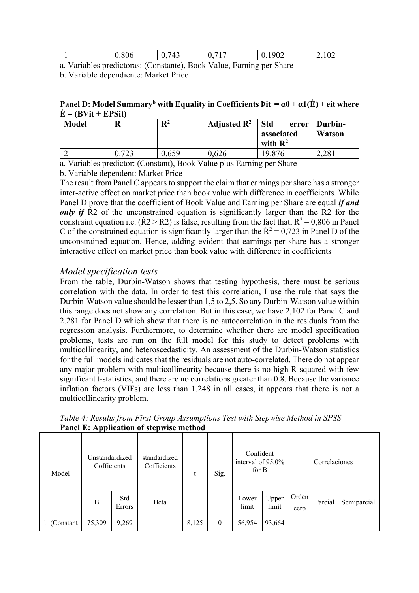| .)t    | -<br>$\overline{4}$<br>w.<br>. . | .<br>$\mathbf v$ | .007<br>$V -$<br>v.i | $\Omega$<br>2,102 |
|--------|----------------------------------|------------------|----------------------|-------------------|
| $\sim$ | . .                              | - -<br>. .       | $\sim$ 1             |                   |

a. Variables predictoras: (Constante), Book Value, Earning per Share b. Variable dependiente: Market Price

**Panel D: Model Summary<sup>b</sup> with Equality in Coefficients Þit =**  $\alpha$ **0 +**  $\alpha$ **1(Ė) + eit where**  $\dot{\mathbf{E}} = (\mathbf{B} \mathbf{V} \mathbf{it} + \mathbf{E} \mathbf{P} \mathbf{S} \mathbf{it})$ 

| <b>Model</b> | R | $\mathbf{R}^2$ | Adjusted $\mathbb{R}^2$ | <b>Std</b><br>error<br>associated<br>with $\mathbb{R}^2$ | Durbin-<br>Watson |
|--------------|---|----------------|-------------------------|----------------------------------------------------------|-------------------|
|              |   | 0,659          | 0,626                   | 19.876                                                   | 201<br>4.401      |

a. Variables predictor: (Constant), Book Value plus Earning per Share b. Variable dependent: Market Price

The result from Panel C appears to support the claim that earnings per share has a stronger inter-active effect on market price than book value with difference in coefficients. While Panel D prove that the coefficient of Book Value and Earning per Share are equal *if and only if* R2 of the unconstrained equation is significantly larger than the R2 for the constraint equation i.e.  $(\dot{R}2 > R2)$  is false, resulting from the fact that,  $R^2 = 0.806$  in Panel C of the constrained equation is significantly larger than the  $\dot{R}^2 = 0.723$  in Panel D of the unconstrained equation. Hence, adding evident that earnings per share has a stronger interactive effect on market price than book value with difference in coefficients

### *Model specification tests*

From the table, Durbin-Watson shows that testing hypothesis, there must be serious correlation with the data. In order to test this correlation, I use the rule that says the Durbin-Watson value should be lesser than 1,5 to 2,5. So any Durbin-Watson value within this range does not show any correlation. But in this case, we have 2,102 for Panel C and 2.281 for Panel D which show that there is no autocorrelation in the residuals from the regression analysis. Furthermore, to determine whether there are model specification problems, tests are run on the full model for this study to detect problems with multicollinearity, and heteroscedasticity. An assessment of the Durbin-Watson statistics for the full models indicates that the residuals are not auto-correlated. There do not appear any major problem with multicollinearity because there is no high R-squared with few significant t-statistics, and there are no correlations greater than 0.8. Because the variance inflation factors (VIFs) are less than 1.248 in all cases, it appears that there is not a multicollinearity problem.

| Model      | Unstandardized<br>Cofficients |               | standardized<br>Cofficients | t     | Sig.           | Confident<br>interval of 95,0%<br>for $B$ |                | Correlaciones |         |             |
|------------|-------------------------------|---------------|-----------------------------|-------|----------------|-------------------------------------------|----------------|---------------|---------|-------------|
|            | B                             | Std<br>Errors | Beta                        |       |                | Lower<br>limit                            | Upper<br>limit | Orden<br>cero | Parcial | Semiparcial |
| (Constant) | 75,309                        | 9,269         |                             | 8,125 | $\overline{0}$ | 56,954                                    | 93,664         |               |         |             |

*Table 4: Results from First Group Assumptions Test with Stepwise Method in SPSS* **Panel E: Application of stepwise method**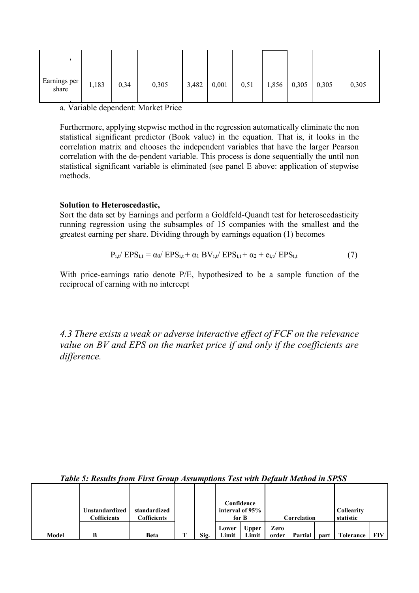| Earnings per<br>share | 1,183 | 0,34 | 0,305 | 3,482 | 0,001 | 0,51 | 1,856 | 0,305 | 0,305 | 0,305 |
|-----------------------|-------|------|-------|-------|-------|------|-------|-------|-------|-------|

a. Variable dependent: Market Price

Furthermore, applying stepwise method in the regression automatically eliminate the non statistical significant predictor (Book value) in the equation. That is, it looks in the correlation matrix and chooses the independent variables that have the larger Pearson correlation with the de-pendent variable. This process is done sequentially the until non statistical significant variable is eliminated (see panel E above: application of stepwise methods.

#### **Solution to Heteroscedastic,**

Sort the data set by Earnings and perform a Goldfeld-Quandt test for heteroscedasticity running regression using the subsamples of 15 companies with the smallest and the greatest earning per share. Dividing through by earnings equation (1) becomes

$$
P_{i,t'} EPS_{i,t} = \alpha_0 / EPS_{i,t} + \alpha_1 BV_{i,t'} EPS_{i,t} + \alpha_2 + e_{i,t'} EPS_{i,t}
$$
 (7)

With price-earnings ratio denote P/E, hypothesized to be a sample function of the reciprocal of earning with no intercept

*4.3 There exists a weak or adverse interactive effect of FCF on the relevance value on BV and EPS on the market price if and only if the coefficients are difference.*

|       | <b>Unstandardized</b><br><b>Cofficients</b> | standardized<br><b>Cofficients</b> |   |      |                | Confidence<br>interval of 95%<br>for B |               | Correlation |      | <b>Collearity</b><br>statistic |            |
|-------|---------------------------------------------|------------------------------------|---|------|----------------|----------------------------------------|---------------|-------------|------|--------------------------------|------------|
| Model | B                                           | Beta                               | m | Sig. | Lower<br>∟imit | <b>Upper</b><br>Limit                  | Zero<br>order | Partial     | part | Tolerance                      | <b>FIV</b> |

*Table 5: Results from First Group Assumptions Test with Default Method in SPSS*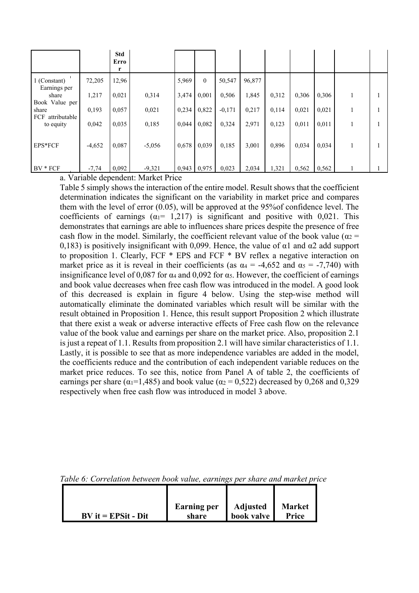|                              |          | <b>Std</b><br>Erro<br>r |          |       |          |          |        |       |       |       |  |
|------------------------------|----------|-------------------------|----------|-------|----------|----------|--------|-------|-------|-------|--|
| 1 (Constant)<br>Earnings per | 72,205   | 12,96                   |          | 5,969 | $\theta$ | 50,547   | 96,877 |       |       |       |  |
| share<br>Book Value per      | 1,217    | 0,021                   | 0,314    | 3,474 | 0,001    | 0,506    | 1,845  | 0,312 | 0,306 | 0,306 |  |
| share<br>FCF attributable    | 0,193    | 0,057                   | 0,021    | 0,234 | 0,822    | $-0,171$ | 0,217  | 0,114 | 0,021 | 0,021 |  |
| to equity                    | 0,042    | 0,035                   | 0,185    | 0,044 | 0,082    | 0,324    | 2,971  | 0,123 | 0,011 | 0,011 |  |
| EPS*FCF                      | $-4,652$ | 0,087                   | $-5,056$ | 0,678 | 0,039    | 0,185    | 3,001  | 0,896 | 0,034 | 0,034 |  |
| $BV * FCF$                   | $-7,74$  | 0,092                   | $-9,321$ | 0,943 | 0,975    | 0,023    | 2,034  | 1,321 | 0,562 | 0,562 |  |

a. Variable dependent: Market Price

Table 5 simply shows the interaction of the entire model. Result shows that the coefficient determination indicates the significant on the variability in market price and compares them with the level of error (0.05), will be approved at the 95%of confidence level. The coefficients of earnings ( $\alpha_1$ = 1,217) is significant and positive with 0,021. This demonstrates that earnings are able to influences share prices despite the presence of free cash flow in the model. Similarly, the coefficient relevant value of the book value ( $\alpha_2$  = 0,183) is positively insignificant with 0,099. Hence, the value of  $\alpha$ 1 and  $\alpha$ 2 add support to proposition 1. Clearly, FCF \* EPS and FCF \* BV reflex a negative interaction on market price as it is reveal in their coefficients (as  $\alpha_4 = -4,652$  and  $\alpha_5 = -7,740$ ) with insignificance level of 0,087 for  $\alpha_4$  and 0,092 for  $\alpha_5$ . However, the coefficient of earnings and book value decreases when free cash flow was introduced in the model. A good look of this decreased is explain in figure 4 below. Using the step-wise method will automatically eliminate the dominated variables which result will be similar with the result obtained in Proposition 1. Hence, this result support Proposition 2 which illustrate that there exist a weak or adverse interactive effects of Free cash flow on the relevance value of the book value and earnings per share on the market price. Also, proposition 2.1 is just a repeat of 1.1. Results from proposition 2.1 will have similar characteristics of 1.1. Lastly, it is possible to see that as more independence variables are added in the model, the coefficients reduce and the contribution of each independent variable reduces on the market price reduces. To see this, notice from Panel A of table 2, the coefficients of earnings per share ( $\alpha_1$ =1,485) and book value ( $\alpha_2$  = 0,522) decreased by 0,268 and 0,329 respectively when free cash flow was introduced in model 3 above.

|                       | <b>Earning per</b> | Adjusted   Market |       |
|-----------------------|--------------------|-------------------|-------|
| $BV$ it = EPSit - Dit | share              | book valve        | Price |

*Table 6: Correlation between book value, earnings per share and market price*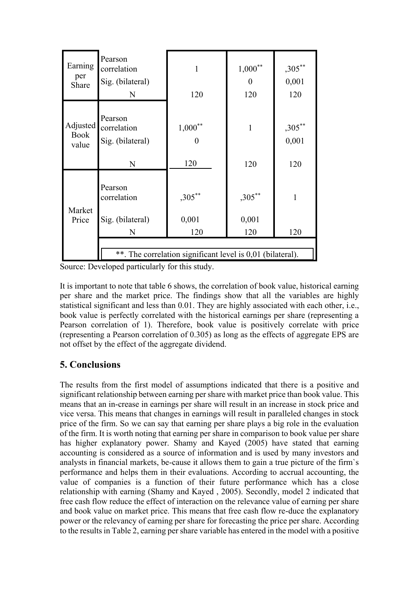| Earning<br>per<br>Share          | Pearson<br>correlation<br>Sig. (bilateral)<br>N            | 120                               | $1,000$ <sup>**</sup><br>0<br>120 | $,305***$<br>0,001<br>120 |  |  |  |
|----------------------------------|------------------------------------------------------------|-----------------------------------|-----------------------------------|---------------------------|--|--|--|
| Adjusted<br><b>Book</b><br>value | Pearson<br>correlation<br>Sig. (bilateral)<br>$\mathbf N$  | $1,000$ <sup>**</sup><br>0<br>120 | $\mathbf{1}$<br>120               | $,305***$<br>0,001<br>120 |  |  |  |
| Market<br>Price                  | Pearson<br>correlation<br>Sig. (bilateral)<br>N            | ,305**<br>0,001<br>120            | $,305***$<br>0,001<br>120         | 1<br>120                  |  |  |  |
|                                  | **. The correlation significant level is 0,01 (bilateral). |                                   |                                   |                           |  |  |  |

Source: Developed particularly for this study.

It is important to note that table 6 shows, the correlation of book value, historical earning per share and the market price. The findings show that all the variables are highly statistical significant and less than 0.01. They are highly associated with each other, i.e., book value is perfectly correlated with the historical earnings per share (representing a Pearson correlation of 1). Therefore, book value is positively correlate with price (representing a Pearson correlation of 0.305) as long as the effects of aggregate EPS are not offset by the effect of the aggregate dividend.

# **5. Conclusions**

The results from the first model of assumptions indicated that there is a positive and significant relationship between earning per share with market price than book value. This means that an in-crease in earnings per share will result in an increase in stock price and vice versa. This means that changes in earnings will result in paralleled changes in stock price of the firm. So we can say that earning per share plays a big role in the evaluation of the firm. It is worth noting that earning per share in comparison to book value per share has higher explanatory power. Shamy and Kayed (2005) have stated that earning accounting is considered as a source of information and is used by many investors and analysts in financial markets, be-cause it allows them to gain a true picture of the firm`s performance and helps them in their evaluations. According to accrual accounting, the value of companies is a function of their future performance which has a close relationship with earning (Shamy and Kayed , 2005). Secondly, model 2 indicated that free cash flow reduce the effect of interaction on the relevance value of earning per share and book value on market price. This means that free cash flow re-duce the explanatory power or the relevancy of earning per share for forecasting the price per share. According to the results in Table 2, earning per share variable has entered in the model with a positive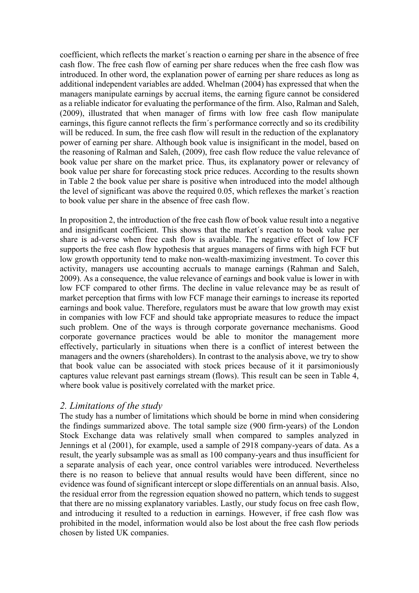coefficient, which reflects the market´s reaction o earning per share in the absence of free cash flow. The free cash flow of earning per share reduces when the free cash flow was introduced. In other word, the explanation power of earning per share reduces as long as additional independent variables are added. Whelman (2004) has expressed that when the managers manipulate earnings by accrual items, the earning figure cannot be considered as a reliable indicator for evaluating the performance of the firm. Also, Ralman and Saleh, (2009), illustrated that when manager of firms with low free cash flow manipulate earnings, this figure cannot reflects the firm´s performance correctly and so its credibility will be reduced. In sum, the free cash flow will result in the reduction of the explanatory power of earning per share. Although book value is insignificant in the model, based on the reasoning of Ralman and Saleh, (2009), free cash flow reduce the value relevance of book value per share on the market price. Thus, its explanatory power or relevancy of book value per share for forecasting stock price reduces. According to the results shown in Table 2 the book value per share is positive when introduced into the model although the level of significant was above the required 0.05, which reflexes the market´s reaction to book value per share in the absence of free cash flow.

In proposition 2, the introduction of the free cash flow of book value result into a negative and insignificant coefficient. This shows that the market´s reaction to book value per share is ad-verse when free cash flow is available. The negative effect of low FCF supports the free cash flow hypothesis that argues managers of firms with high FCF but low growth opportunity tend to make non-wealth-maximizing investment. To cover this activity, managers use accounting accruals to manage earnings (Rahman and Saleh, 2009). As a consequence, the value relevance of earnings and book value is lower in with low FCF compared to other firms. The decline in value relevance may be as result of market perception that firms with low FCF manage their earnings to increase its reported earnings and book value. Therefore, regulators must be aware that low growth may exist in companies with low FCF and should take appropriate measures to reduce the impact such problem. One of the ways is through corporate governance mechanisms. Good corporate governance practices would be able to monitor the management more effectively, particularly in situations when there is a conflict of interest between the managers and the owners (shareholders). In contrast to the analysis above, we try to show that book value can be associated with stock prices because of it it parsimoniously captures value relevant past earnings stream (flows). This result can be seen in Table 4, where book value is positively correlated with the market price.

### *2. Limitations of the study*

The study has a number of limitations which should be borne in mind when considering the findings summarized above. The total sample size (900 firm-years) of the London Stock Exchange data was relatively small when compared to samples analyzed in Jennings et al (2001), for example, used a sample of 2918 company-years of data. As a result, the yearly subsample was as small as 100 company-years and thus insufficient for a separate analysis of each year, once control variables were introduced. Nevertheless there is no reason to believe that annual results would have been different, since no evidence was found of significant intercept or slope differentials on an annual basis. Also, the residual error from the regression equation showed no pattern, which tends to suggest that there are no missing explanatory variables. Lastly, our study focus on free cash flow, and introducing it resulted to a reduction in earnings. However, if free cash flow was prohibited in the model, information would also be lost about the free cash flow periods chosen by listed UK companies.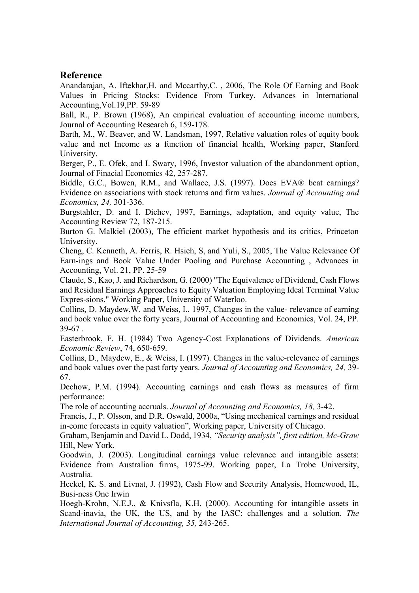### **Reference**

Anandarajan, A. Iftekhar,H. and Mccarthy,C. , 2006, The Role Of Earning and Book Values in Pricing Stocks: Evidence From Turkey, Advances in International Accounting,Vol.19,PP. 59-89

Ball, R., P. Brown (1968), An empirical evaluation of accounting income numbers, Journal of Accounting Research 6, 159-178.

Barth, M., W. Beaver, and W. Landsman, 1997, Relative valuation roles of equity book value and net Income as a function of financial health, Working paper, Stanford University.

Berger, P., E. Ofek, and I. Swary, 1996, Investor valuation of the abandonment option, Journal of Finacial Economics 42, 257-287.

Biddle, G.C., Bowen, R.M., and Wallace, J.S. (1997). Does EVA® beat earnings? Evidence on associations with stock returns and firm values. *Journal of Accounting and Economics, 24,* 301-336.

Burgstahler, D. and I. Dichev, 1997, Earnings, adaptation, and equity value, The Accounting Review 72, 187-215.

Burton G. Malkiel (2003), The efficient market hypothesis and its critics, Princeton University.

Cheng, C. Kenneth, A. Ferris, R. Hsieh, S, and Yuli, S., 2005, The Value Relevance Of Earn-ings and Book Value Under Pooling and Purchase Accounting , Advances in Accounting, Vol. 21, PP. 25-59

Claude, S., Kao, J. and Richardson, G. (2000) "The Equivalence of Dividend, Cash Flows and Residual Earnings Approaches to Equity Valuation Employing Ideal Terminal Value Expres-sions." Working Paper, University of Waterloo.

Collins, D. Maydew,W. and Weiss, I., 1997, Changes in the value- relevance of earning and book value over the forty years, Journal of Accounting and Economics, Vol. 24, PP. 39-67 .

Easterbrook, F. H. (1984) Two Agency-Cost Explanations of Dividends. *American Economic Review*, 74, 650-659.

Collins, D., Maydew, E., & Weiss, I. (1997). Changes in the value-relevance of earnings and book values over the past forty years. *Journal of Accounting and Economics, 24,* 39- 67.

Dechow, P.M. (1994). Accounting earnings and cash flows as measures of firm performance:

The role of accounting accruals. *Journal of Accounting and Economics, 18,* 3-42.

Francis, J., P. Olsson, and D.R. Oswald, 2000a, "Using mechanical earnings and residual in-come forecasts in equity valuation", Working paper, University of Chicago.

Graham, Benjamin and David L. Dodd, 1934, *"Security analysis", first edition, Mc-Graw* Hill, New York.

Goodwin, J. (2003). Longitudinal earnings value relevance and intangible assets: Evidence from Australian firms, 1975-99. Working paper, La Trobe University, Australia.

Heckel, K. S. and Livnat, J. (1992), Cash Flow and Security Analysis, Homewood, IL, Busi-ness One Irwin

Hoegh-Krohn, N.E.J., & Knivsfla, K.H. (2000). Accounting for intangible assets in Scand-inavia, the UK, the US, and by the IASC: challenges and a solution. *The International Journal of Accounting, 35,* 243-265.